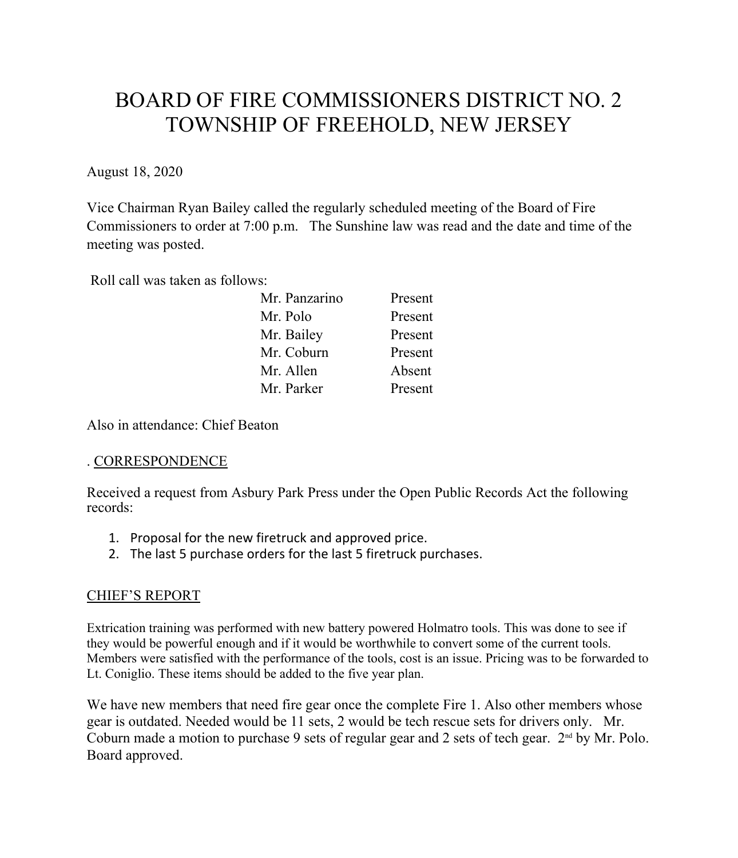# BOARD OF FIRE COMMISSIONERS DISTRICT NO. 2 TOWNSHIP OF FREEHOLD, NEW JERSEY

August 18, 2020

Vice Chairman Ryan Bailey called the regularly scheduled meeting of the Board of Fire Commissioners to order at 7:00 p.m. The Sunshine law was read and the date and time of the meeting was posted.

Roll call was taken as follows:

| Mr. Panzarino | Present |
|---------------|---------|
| Mr. Polo      | Present |
| Mr. Bailey    | Present |
| Mr. Coburn    | Present |
| Mr. Allen     | Absent  |
| Mr. Parker    | Present |

Also in attendance: Chief Beaton

# . CORRESPONDENCE

Received a request from Asbury Park Press under the Open Public Records Act the following records:

- 1. Proposal for the new firetruck and approved price.
- 2. The last 5 purchase orders for the last 5 firetruck purchases.

# CHIEF'S REPORT

Extrication training was performed with new battery powered Holmatro tools. This was done to see if they would be powerful enough and if it would be worthwhile to convert some of the current tools. Members were satisfied with the performance of the tools, cost is an issue. Pricing was to be forwarded to Lt. Coniglio. These items should be added to the five year plan.

We have new members that need fire gear once the complete Fire 1. Also other members whose gear is outdated. Needed would be 11 sets, 2 would be tech rescue sets for drivers only. Mr. Coburn made a motion to purchase 9 sets of regular gear and 2 sets of tech gear.  $2<sup>nd</sup>$  by Mr. Polo. Board approved.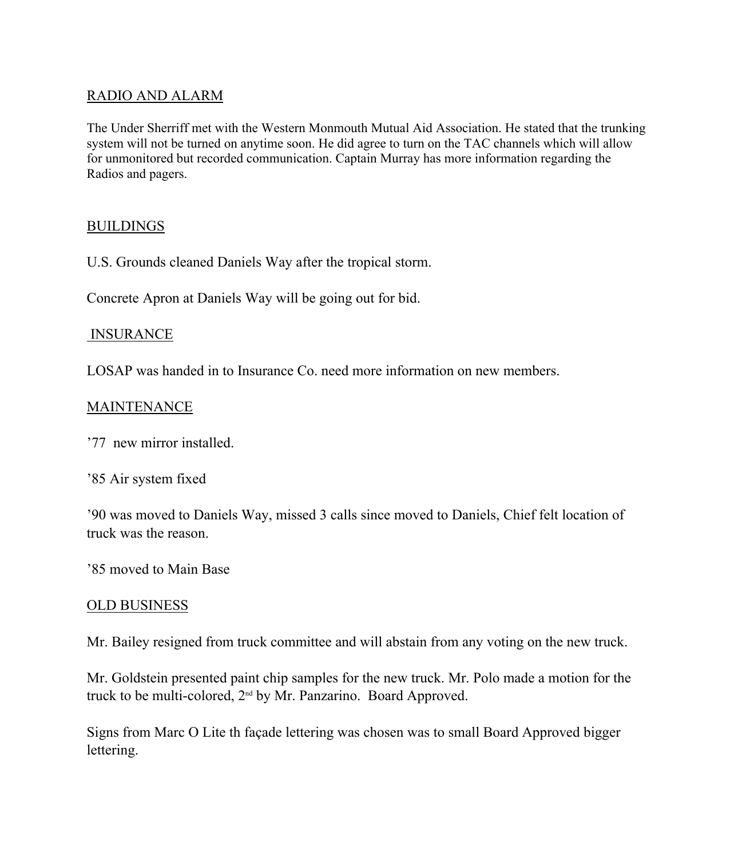## RADIO AND ALARM

The Under Sherriff met with the Western Monmouth Mutual Aid Association. He stated that the trunking system will not be turned on anytime soon. He did agree to turn on the TAC channels which will allow for unmonitored but recorded communication. Captain Murray has more information regarding the Radios and pagers.

## **BUILDINGS**

U.S. Grounds cleaned Daniels Way after the tropical storm.

Concrete Apron at Daniels Way will be going out for bid.

## INSURANCE

LOSAP was handed in to Insurance Co. need more information on new members.

## **MAINTENANCE**

'77 new mirror installed.

'85 Air system fixed

'90 was moved to Daniels Way, missed 3 calls since moved to Daniels, Chief felt location of truck was the reason.

'85 moved to Main Base

#### OLD BUSINESS

Mr. Bailey resigned from truck committee and will abstain from any voting on the new truck.

Mr. Goldstein presented paint chip samples for the new truck. Mr. Polo made a motion for the truck to be multi-colored, 2nd by Mr. Panzarino. Board Approved.

Signs from Marc O Lite th façade lettering was chosen was to small Board Approved bigger lettering.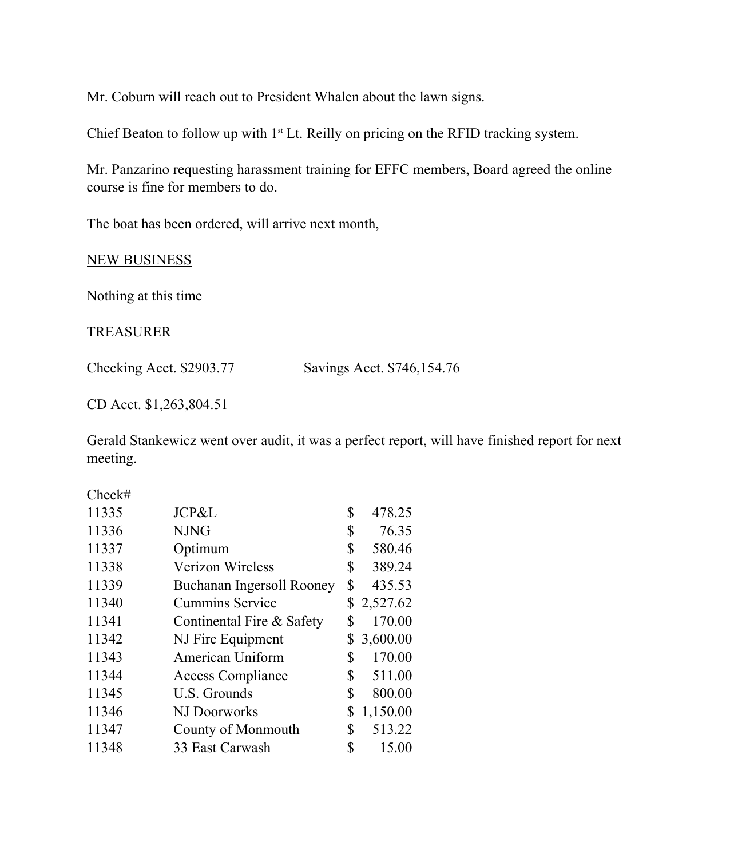Mr. Coburn will reach out to President Whalen about the lawn signs.

Chief Beaton to follow up with  $1<sup>st</sup>$  Lt. Reilly on pricing on the RFID tracking system.

Mr. Panzarino requesting harassment training for EFFC members, Board agreed the online course is fine for members to do.

The boat has been ordered, will arrive next month,

#### NEW BUSINESS

Nothing at this time

#### TREASURER

Checking Acct. \$2903.77 Savings Acct. \$746,154.76

CD Acct. \$1,263,804.51

Gerald Stankewicz went over audit, it was a perfect report, will have finished report for next meeting.

Check#

| 11335 | JCP&L                     | \$<br>478.25   |
|-------|---------------------------|----------------|
| 11336 | <b>NJNG</b>               | \$<br>76.35    |
| 11337 | Optimum                   | \$<br>580.46   |
| 11338 | Verizon Wireless          | \$<br>389.24   |
| 11339 | Buchanan Ingersoll Rooney | \$<br>435.53   |
| 11340 | <b>Cummins Service</b>    | \$2,527.62     |
| 11341 | Continental Fire & Safety | \$<br>170.00   |
| 11342 | NJ Fire Equipment         | \$3,600.00     |
| 11343 | American Uniform          | \$<br>170.00   |
| 11344 | <b>Access Compliance</b>  | \$<br>511.00   |
| 11345 | U.S. Grounds              | \$<br>800.00   |
| 11346 | NJ Doorworks              | \$<br>1,150.00 |
| 11347 | County of Monmouth        | \$<br>513.22   |
| 11348 | 33 East Carwash           | \$<br>15.00    |